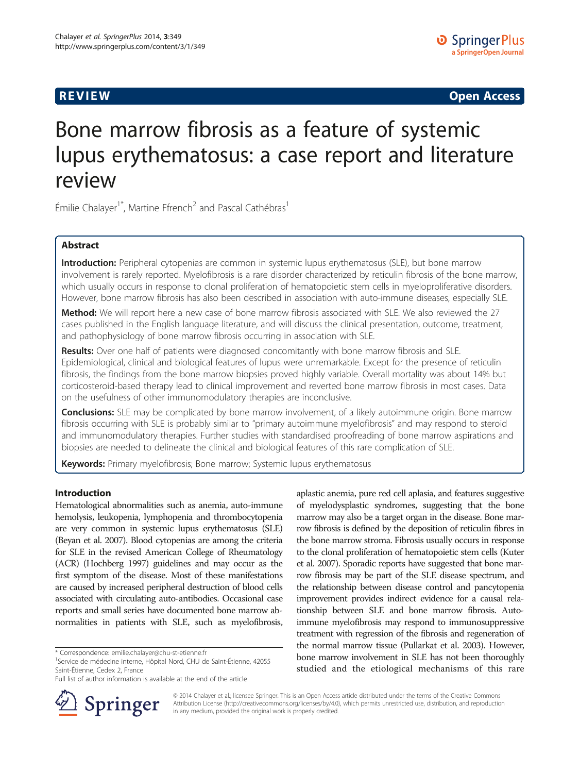**REVIEW REVIEW CONSTRUCTER CONSTRUCTION** 

# Bone marrow fibrosis as a feature of systemic lupus erythematosus: a case report and literature review

Émilie Chalayer<sup>1\*</sup>, Martine Ffrench<sup>2</sup> and Pascal Cathébras<sup>1</sup>

#### Abstract

Introduction: Peripheral cytopenias are common in systemic lupus erythematosus (SLE), but bone marrow involvement is rarely reported. Myelofibrosis is a rare disorder characterized by reticulin fibrosis of the bone marrow, which usually occurs in response to clonal proliferation of hematopoietic stem cells in myeloproliferative disorders. However, bone marrow fibrosis has also been described in association with auto-immune diseases, especially SLE.

Method: We will report here a new case of bone marrow fibrosis associated with SLE. We also reviewed the 27 cases published in the English language literature, and will discuss the clinical presentation, outcome, treatment, and pathophysiology of bone marrow fibrosis occurring in association with SLE.

Results: Over one half of patients were diagnosed concomitantly with bone marrow fibrosis and SLE. Epidemiological, clinical and biological features of lupus were unremarkable. Except for the presence of reticulin fibrosis, the findings from the bone marrow biopsies proved highly variable. Overall mortality was about 14% but corticosteroid-based therapy lead to clinical improvement and reverted bone marrow fibrosis in most cases. Data on the usefulness of other immunomodulatory therapies are inconclusive.

**Conclusions:** SLE may be complicated by bone marrow involvement, of a likely autoimmune origin. Bone marrow fibrosis occurring with SLE is probably similar to "primary autoimmune myelofibrosis" and may respond to steroid and immunomodulatory therapies. Further studies with standardised proofreading of bone marrow aspirations and biopsies are needed to delineate the clinical and biological features of this rare complication of SLE.

Keywords: Primary myelofibrosis; Bone marrow; Systemic lupus erythematosus

#### Introduction

Hematological abnormalities such as anemia, auto-immune hemolysis, leukopenia, lymphopenia and thrombocytopenia are very common in systemic lupus erythematosus (SLE) (Beyan et al. [2007](#page-8-0)). Blood cytopenias are among the criteria for SLE in the revised American College of Rheumatology (ACR) (Hochberg [1997\)](#page-8-0) guidelines and may occur as the first symptom of the disease. Most of these manifestations are caused by increased peripheral destruction of blood cells associated with circulating auto-antibodies. Occasional case reports and small series have documented bone marrow abnormalities in patients with SLE, such as myelofibrosis,

Full list of author information is available at the end of the article



aplastic anemia, pure red cell aplasia, and features suggestive of myelodysplastic syndromes, suggesting that the bone marrow may also be a target organ in the disease. Bone marrow fibrosis is defined by the deposition of reticulin fibres in the bone marrow stroma. Fibrosis usually occurs in response to the clonal proliferation of hematopoietic stem cells (Kuter et al. [2007\)](#page-8-0). Sporadic reports have suggested that bone marrow fibrosis may be part of the SLE disease spectrum, and the relationship between disease control and pancytopenia improvement provides indirect evidence for a causal relationship between SLE and bone marrow fibrosis. Autoimmune myelofibrosis may respond to immunosuppressive treatment with regression of the fibrosis and regeneration of the normal marrow tissue (Pullarkat et al. [2003\)](#page-8-0). However, bone marrow involvement in SLE has not been thoroughly studied and the etiological mechanisms of this rare

© 2014 Chalayer et al.; licensee Springer. This is an Open Access article distributed under the terms of the Creative Commons Attribution License [\(http://creativecommons.org/licenses/by/4.0\)](http://creativecommons.org/licenses/by/4.0), which permits unrestricted use, distribution, and reproduction in any medium, provided the original work is properly credited.

<sup>\*</sup> Correspondence: [emilie.chalayer@chu-st-etienne.fr](mailto:emilie.chalayer@chu-st-etienne.fr) <sup>1</sup>

Service de médecine interne, Hôpital Nord, CHU de Saint-Étienne, 42055 Saint-Étienne, Cedex 2, France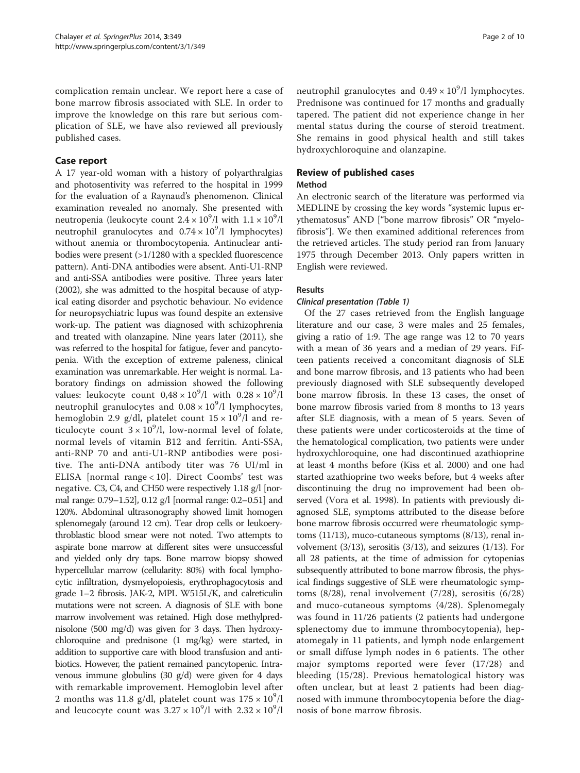complication remain unclear. We report here a case of bone marrow fibrosis associated with SLE. In order to improve the knowledge on this rare but serious complication of SLE, we have also reviewed all previously published cases.

#### Case report

A 17 year-old woman with a history of polyarthralgias and photosentivity was referred to the hospital in 1999 for the evaluation of a Raynaud's phenomenon. Clinical examination revealed no anomaly. She presented with neutropenia (leukocyte count  $2.4 \times 10^9$ /l with  $1.1 \times 10^9$ /l neutrophil granulocytes and  $0.74 \times 10^9$ /l lymphocytes) without anemia or thrombocytopenia. Antinuclear antibodies were present (>1/1280 with a speckled fluorescence pattern). Anti-DNA antibodies were absent. Anti-U1-RNP and anti-SSA antibodies were positive. Three years later (2002), she was admitted to the hospital because of atypical eating disorder and psychotic behaviour. No evidence for neuropsychiatric lupus was found despite an extensive work-up. The patient was diagnosed with schizophrenia and treated with olanzapine. Nine years later (2011), she was referred to the hospital for fatigue, fever and pancytopenia. With the exception of extreme paleness, clinical examination was unremarkable. Her weight is normal. Laboratory findings on admission showed the following values: leukocyte count  $0.48 \times 10^9$ /l with  $0.28 \times 10^9$ /l neutrophil granulocytes and  $0.08 \times 10^9$ /l lymphocytes, hemoglobin 2.9 g/dl, platelet count  $15 \times 10^9$ /l and reticulocyte count  $3 \times 10^9$ /l, low-normal level of folate, normal levels of vitamin B12 and ferritin. Anti-SSA, anti-RNP 70 and anti-U1-RNP antibodies were positive. The anti-DNA antibody titer was 76 UI/ml in ELISA [normal range < 10]. Direct Coombs' test was negative. C3, C4, and CH50 were respectively 1.18 g/l [normal range: 0.79–1.52], 0.12 g/l [normal range: 0.2–0.51] and 120%. Abdominal ultrasonography showed limit homogen splenomegaly (around 12 cm). Tear drop cells or leukoerythroblastic blood smear were not noted. Two attempts to aspirate bone marrow at different sites were unsuccessful and yielded only dry taps. Bone marrow biopsy showed hypercellular marrow (cellularity: 80%) with focal lymphocytic infiltration, dysmyelopoiesis, erythrophagocytosis and grade 1–2 fibrosis. JAK-2, MPL W515L/K, and calreticulin mutations were not screen. A diagnosis of SLE with bone marrow involvement was retained. High dose methylprednisolone (500 mg/d) was given for 3 days. Then hydroxychloroquine and prednisone (1 mg/kg) were started, in addition to supportive care with blood transfusion and antibiotics. However, the patient remained pancytopenic. Intravenous immune globulins (30 g/d) were given for 4 days with remarkable improvement. Hemoglobin level after 2 months was 11.8 g/dl, platelet count was  $175 \times 10^9$ /l and leucocyte count was  $3.27 \times 10^9$ /l with  $2.32 \times 10^9$ /l

neutrophil granulocytes and  $0.49 \times 10^9$ /l lymphocytes. Prednisone was continued for 17 months and gradually tapered. The patient did not experience change in her mental status during the course of steroid treatment. She remains in good physical health and still takes hydroxychloroquine and olanzapine.

## Review of published cases

#### Method

An electronic search of the literature was performed via MEDLINE by crossing the key words "systemic lupus erythematosus" AND ["bone marrow fibrosis" OR "myelofibrosis"]. We then examined additional references from the retrieved articles. The study period ran from January 1975 through December 2013. Only papers written in English were reviewed.

#### Results

#### Clinical presentation (Table [1\)](#page-2-0)

Of the 27 cases retrieved from the English language literature and our case, 3 were males and 25 females, giving a ratio of 1:9. The age range was 12 to 70 years with a mean of 36 years and a median of 29 years. Fifteen patients received a concomitant diagnosis of SLE and bone marrow fibrosis, and 13 patients who had been previously diagnosed with SLE subsequently developed bone marrow fibrosis. In these 13 cases, the onset of bone marrow fibrosis varied from 8 months to 13 years after SLE diagnosis, with a mean of 5 years. Seven of these patients were under corticosteroids at the time of the hematological complication, two patients were under hydroxychloroquine, one had discontinued azathioprine at least 4 months before (Kiss et al. [2000\)](#page-8-0) and one had started azathioprine two weeks before, but 4 weeks after discontinuing the drug no improvement had been observed (Vora et al. [1998](#page-9-0)). In patients with previously diagnosed SLE, symptoms attributed to the disease before bone marrow fibrosis occurred were rheumatologic symptoms (11/13), muco-cutaneous symptoms (8/13), renal involvement  $(3/13)$ , serositis  $(3/13)$ , and seizures  $(1/13)$ . For all 28 patients, at the time of admission for cytopenias subsequently attributed to bone marrow fibrosis, the physical findings suggestive of SLE were rheumatologic symptoms (8/28), renal involvement (7/28), serositis (6/28) and muco-cutaneous symptoms (4/28). Splenomegaly was found in 11/26 patients (2 patients had undergone splenectomy due to immune thrombocytopenia), hepatomegaly in 11 patients, and lymph node enlargement or small diffuse lymph nodes in 6 patients. The other major symptoms reported were fever (17/28) and bleeding (15/28). Previous hematological history was often unclear, but at least 2 patients had been diagnosed with immune thrombocytopenia before the diagnosis of bone marrow fibrosis.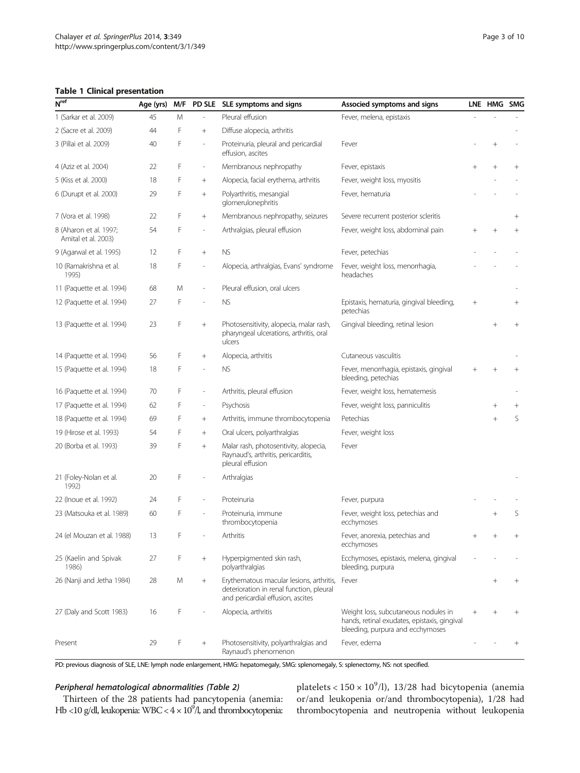#### <span id="page-2-0"></span>Table 1 Clinical presentation

| N <sup>ref</sup>                              | Age (yrs) | M/F<br>PD SLE SLE symptoms and signs |                          |                                                                                                                                                 | Associed symptoms and signs                                    |        | LNE HMG SMG |                 |
|-----------------------------------------------|-----------|--------------------------------------|--------------------------|-------------------------------------------------------------------------------------------------------------------------------------------------|----------------------------------------------------------------|--------|-------------|-----------------|
| 1 (Sarkar et al. 2009)                        | 45        | M                                    |                          | Pleural effusion                                                                                                                                | Fever, melena, epistaxis                                       |        |             |                 |
| 2 (Sacre et al. 2009)                         | 44        | F                                    | $^{+}$                   | Diffuse alopecia, arthritis                                                                                                                     |                                                                |        |             |                 |
| 3 (Pillai et al. 2009)                        | 40        | F                                    | ä,                       | Proteinuria, pleural and pericardial<br>effusion, ascites                                                                                       | Fever                                                          |        | $+$         |                 |
| 4 (Aziz et al. 2004)                          | 22        | F                                    | $\overline{\phantom{a}}$ | Membranous nephropathy                                                                                                                          | Fever, epistaxis                                               |        | $^{+}$      | $+$             |
| 5 (Kiss et al. 2000)                          | 18        | F                                    | $^{+}$                   | Alopecia, facial erythema, arthritis                                                                                                            | Fever, weight loss, myositis                                   |        |             |                 |
| 6 (Durupt et al. 2000)                        | 29        | F                                    | $^{+}$                   | Polyarthritis, mesangial<br>glomerulonephritis                                                                                                  | Fever, hematuria                                               |        |             |                 |
| 7 (Vora et al. 1998)                          | 22        | F                                    | $^{+}$                   | Membranous nephropathy, seizures                                                                                                                | Severe recurrent posterior scleritis                           |        |             | $^{+}$          |
| 8 (Aharon et al. 1997;<br>Amital et al. 2003) | 54        | F                                    | $\overline{\phantom{a}}$ | Arthralgias, pleural effusion                                                                                                                   | Fever, weight loss, abdominal pain                             |        | $+$         | $+$             |
| 9 (Agarwal et al. 1995)                       | 12        | F                                    | $^{+}$                   | <b>NS</b>                                                                                                                                       | Fever, petechias                                               |        |             |                 |
| 10 (Ramakrishna et al.<br>1995)               | 18        | F                                    | $\overline{a}$           | Alopecia, arthralgias, Evans' syndrome                                                                                                          | Fever, weight loss, menorrhagia,<br>headaches                  |        |             |                 |
| 11 (Paquette et al. 1994)                     | 68        | Μ                                    | $\overline{a}$           | Pleural effusion, oral ulcers                                                                                                                   |                                                                |        |             |                 |
| 12 (Paquette et al. 1994)                     | 27        | F                                    |                          | <b>NS</b>                                                                                                                                       | Epistaxis, hematuria, gingival bleeding,<br>petechias          | $^{+}$ |             | $^{+}$          |
| 13 (Paquette et al. 1994)                     | 23        | F                                    | $^{+}$                   | Photosensitivity, alopecia, malar rash,<br>Gingival bleeding, retinal lesion<br>pharyngeal ulcerations, arthritis, oral<br>ulcers               |                                                                |        | $+$         | $+$             |
| 14 (Paquette et al. 1994)                     | 56        | F                                    | $^{+}$                   | Alopecia, arthritis                                                                                                                             | Cutaneous vasculitis                                           |        |             |                 |
| 15 (Paquette et al. 1994)                     | 18        | F                                    | ä,                       | <b>NS</b>                                                                                                                                       | Fever, menorrhagia, epistaxis, gingival<br>bleeding, petechias |        | $^{+}$      | $\! + \!\!\!\!$ |
| 16 (Paquette et al. 1994)                     | 70        | F                                    | $\overline{\phantom{a}}$ | Arthritis, pleural effusion                                                                                                                     | Fever, weight loss, hematemesis                                |        |             |                 |
| 17 (Paquette et al. 1994)                     | 62        | F                                    | $\overline{\phantom{a}}$ | Psychosis                                                                                                                                       | Fever, weight loss, panniculitis                               |        | $^+$        | $^{+}$          |
| 18 (Paquette et al. 1994)                     | 69        | F                                    | $^{+}$                   | Arthritis, immune thrombocytopenia                                                                                                              | Petechias                                                      |        | $+$         | S               |
| 19 (Hirose et al. 1993)                       | 54        | F                                    | $^{+}$                   | Oral ulcers, polyarthralgias                                                                                                                    | Fever, weight loss                                             |        |             |                 |
| 20 (Borba et al. 1993)                        | 39        | F                                    | $^{+}$                   | Malar rash, photosentivity, alopecia,<br>Raynaud's, arthritis, pericarditis,<br>pleural effusion                                                | Fever                                                          |        |             |                 |
| 21 (Foley-Nolan et al.<br>1992)               | 20        | F                                    |                          | Arthralgias                                                                                                                                     |                                                                |        |             |                 |
| 22 (Inoue et al. 1992)                        | 24        | F                                    |                          | Proteinuria                                                                                                                                     | Fever, purpura                                                 |        |             |                 |
| 23 (Matsouka et al. 1989)                     | 60        | F                                    |                          | Proteinuria, immune<br>thrombocytopenia                                                                                                         | Fever, weight loss, petechias and<br>ecchymoses                |        | $^{+}$      | S               |
| 24 (el Mouzan et al. 1988)                    | 13        | F                                    |                          | Arthritis                                                                                                                                       | Fever, anorexia, petechias and<br>ecchymoses                   |        |             |                 |
| 25 (Kaelin and Spivak<br>1986)                | 27        | F                                    | $^{+}$                   | Hyperpigmented skin rash,<br>polyarthralgias                                                                                                    | Ecchymoses, epistaxis, melena, gingival<br>bleeding, purpura   |        |             |                 |
| 26 (Nanji and Jetha 1984)                     | 28        | Μ                                    | $^{+}$                   | Erythematous macular lesions, arthritis,<br>deterioration in renal function, pleural<br>and pericardial effusion, ascites                       | Fever                                                          |        | $+$         | $^{+}$          |
| 27 (Daly and Scott 1983)                      | 16        | F                                    |                          | Alopecia, arthritis<br>Weight loss, subcutaneous nodules in<br>hands, retinal exudates, epistaxis, gingival<br>bleeding, purpura and ecchymoses |                                                                |        |             | $+$             |
| Present                                       | 29        | F                                    | $^{+}$                   | Photosensitivity, polyarthralgias and<br>Raynaud's phenomenon                                                                                   | Fever, edema                                                   |        |             | $^{+}$          |

PD: previous diagnosis of SLE, LNE: lymph node enlargement, HMG: hepatomegaly, SMG: splenomegaly, S: splenectomy, NS: not specified.

#### Peripheral hematological abnormalities (Table [2](#page-3-0))

Thirteen of the 28 patients had pancytopenia (anemia: Hb <10 g/dl, leukopenia: WBC <  $4 \times 10^9$ /l, and thrombocytopenia:

platelets <  $150 \times 10^9$ /l), 13/28 had bicytopenia (anemia or/and leukopenia or/and thrombocytopenia), 1/28 had thrombocytopenia and neutropenia without leukopenia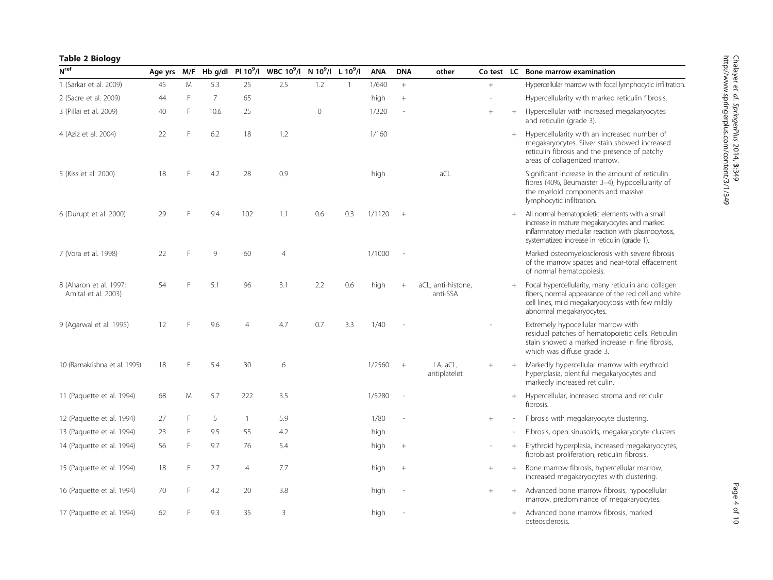### <span id="page-3-0"></span>Table 2 Biology

| N <sup>ref</sup>                              | Age yrs |   |                 |                | M/F Hb g/dl Pl 10 <sup>9</sup> /l WBC 10 <sup>9</sup> /l N 10 <sup>9</sup> /l L 10 <sup>9</sup> /l |                |              | <b>ANA</b> | <b>DNA</b> | other                          |        |        | Co test LC Bone marrow examination                                                                                                                                                                    |
|-----------------------------------------------|---------|---|-----------------|----------------|----------------------------------------------------------------------------------------------------|----------------|--------------|------------|------------|--------------------------------|--------|--------|-------------------------------------------------------------------------------------------------------------------------------------------------------------------------------------------------------|
| 1 (Sarkar et al. 2009)                        | 45      | M | 5.3             | 25             | 2.5                                                                                                | 1.2            | $\mathbf{1}$ | 1/640      | $+$        |                                | $+$    |        | Hypercellular marrow with focal lymphocytic infiltration.                                                                                                                                             |
| 2 (Sacre et al. 2009)                         | 44      | E | $7\overline{ }$ | 65             |                                                                                                    |                |              | high       | $^{+}$     |                                |        |        | Hypercellularity with marked reticulin fibrosis.                                                                                                                                                      |
| 3 (Pillai et al. 2009)                        | 40      | F | 10.6            | 25             |                                                                                                    | $\overline{0}$ |              | 1/320      |            |                                | $\! +$ | $+$    | Hypercellular with increased megakaryocytes<br>and reticulin (grade 3).                                                                                                                               |
| 4 (Aziz et al. 2004)                          | 22      | E | 6.2             | 18             | 1.2                                                                                                |                |              | 1/160      |            |                                |        | $+$    | Hypercellularity with an increased number of<br>megakaryocytes. Silver stain showed increased<br>reticulin fibrosis and the presence of patchy<br>areas of collagenized marrow.                       |
| 5 (Kiss et al. 2000)                          | 18      |   | 4.2             | 28             | 0.9                                                                                                |                |              | high       |            | aCL                            |        |        | Significant increase in the amount of reticulin<br>fibres (40%, Beumaister 3-4), hypocellularity of<br>the myeloid components and massive<br>lymphocytic infiltration.                                |
| 6 (Durupt et al. 2000)                        | 29      |   | 9.4             | 102            | 1.1                                                                                                | 0.6            | 0.3          | 1/1120     | $+$        |                                |        |        | All normal hematopoietic elements with a small<br>increase in mature megakaryocytes and marked<br>inflammatory medullar reaction with plasmocytosis,<br>systematized increase in reticulin (grade 1). |
| 7 (Vora et al. 1998)                          | 22      | F | 9               | 60             | $\overline{4}$                                                                                     |                |              | 1/1000     |            |                                |        |        | Marked osteomyelosclerosis with severe fibrosis<br>of the marrow spaces and near-total effacement<br>of normal hematopoiesis.                                                                         |
| 8 (Aharon et al. 1997;<br>Amital et al. 2003) | 54      |   | 5.1             | 96             | 3.1                                                                                                | 2.2            | 0.6          | high       | $^{+}$     | aCL, anti-histone,<br>anti-SSA |        | $+$    | Focal hypercellularity, many reticulin and collagen<br>fibers, normal appearance of the red cell and white<br>cell lines, mild megakaryocytosis with few mildly<br>abnormal megakaryocytes.           |
| 9 (Agarwal et al. 1995)                       | 12      | E | 9.6             | $\overline{4}$ | 4.7                                                                                                | 0.7            | 3.3          | 1/40       |            |                                |        |        | Extremely hypocellular marrow with<br>residual patches of hematopoietic cells. Reticulin<br>stain showed a marked increase in fine fibrosis,<br>which was diffuse grade 3.                            |
| 10 (Ramakrishna et al. 1995)                  | 18      | F | 5.4             | 30             | 6                                                                                                  |                |              | 1/2560     | $+$        | LA, aCL,<br>antiplatelet       | $^{+}$ | $^{+}$ | Markedly hypercellular marrow with erythroid<br>hyperplasia, plentiful megakaryocytes and<br>markedly increased reticulin.                                                                            |
| 11 (Paquette et al. 1994)                     | 68      | M | 5.7             | 222            | 3.5                                                                                                |                |              | 1/5280     |            |                                |        | $+$    | Hypercellular, increased stroma and reticulin<br>fibrosis.                                                                                                                                            |
| 12 (Paquette et al. 1994)                     | 27      | E | 5               | $\overline{1}$ | 5.9                                                                                                |                |              | 1/80       |            |                                | $\, +$ |        | Fibrosis with megakaryocyte clustering.                                                                                                                                                               |
| 13 (Paquette et al. 1994)                     | 23      | E | 9.5             | 55             | 4.2                                                                                                |                |              | high       |            |                                |        |        | Fibrosis, open sinusoids, megakaryocyte clusters.                                                                                                                                                     |
| 14 (Paquette et al. 1994)                     | 56      | F | 9.7             | 76             | 5.4                                                                                                |                |              | high       |            |                                |        | $^{+}$ | Erythroid hyperplasia, increased megakaryocytes,<br>fibroblast proliferation, reticulin fibrosis.                                                                                                     |
| 15 (Paquette et al. 1994)                     | 18      | E | 2.7             | $\overline{4}$ | 7.7                                                                                                |                |              | high       | $+$        |                                | $^{+}$ | $^{+}$ | Bone marrow fibrosis, hypercellular marrow,<br>increased megakaryocytes with clustering.                                                                                                              |
| 16 (Paquette et al. 1994)                     | 70      | E | 4.2             | 20             | 3.8                                                                                                |                |              | high       |            |                                | $^{+}$ | $+$    | Advanced bone marrow fibrosis, hypocellular<br>marrow, predominance of megakaryocytes.                                                                                                                |
| 17 (Paquette et al. 1994)                     | 62      |   | 9.3             | 35             | 3                                                                                                  |                |              | high       |            |                                |        | $+$    | Advanced bone marrow fibrosis, marked<br>osteosclerosis.                                                                                                                                              |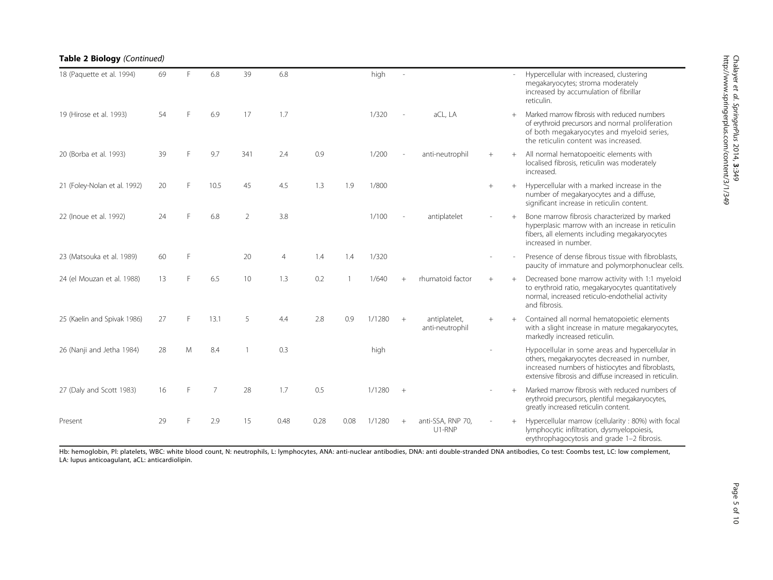| 18 (Paquette et al. 1994)    | 69 |   | 6.8  | 39  | 6.8  |      |      | high   |                |                                  |        |        | Hypercellular with increased, clustering<br>megakaryocytes; stroma moderately<br>increased by accumulation of fibrillar<br>reticulin.                                                                         |
|------------------------------|----|---|------|-----|------|------|------|--------|----------------|----------------------------------|--------|--------|---------------------------------------------------------------------------------------------------------------------------------------------------------------------------------------------------------------|
| 19 (Hirose et al. 1993)      | 54 |   | 6.9  | 17  | 1.7  |      |      | 1/320  |                | aCL, LA                          |        | $+$    | Marked marrow fibrosis with reduced numbers<br>of erythroid precursors and normal proliferation<br>of both megakaryocytes and myeloid series,<br>the reticulin content was increased.                         |
| 20 (Borba et al. 1993)       | 39 |   | 9.7  | 341 | 2.4  | 0.9  |      | 1/200  |                | anti-neutrophil                  | $+$    | $+$    | All normal hematopoeitic elements with<br>localised fibrosis, reticulin was moderately<br>increased.                                                                                                          |
| 21 (Foley-Nolan et al. 1992) | 20 | F | 10.5 | 45  | 4.5  | 1.3  | 1.9  | 1/800  |                |                                  | $^{+}$ | $+$    | Hypercellular with a marked increase in the<br>number of megakaryocytes and a diffuse,<br>significant increase in reticulin content.                                                                          |
| 22 (Inoue et al. 1992)       | 24 |   | 6.8  | 2   | 3.8  |      |      | 1/100  |                | antiplatelet                     |        | $+$    | Bone marrow fibrosis characterized by marked<br>hyperplasic marrow with an increase in reticulin<br>fibers, all elements including megakaryocytes<br>increased in number.                                     |
| 23 (Matsouka et al. 1989)    | 60 | F |      | 20  | 4    | 1.4  | 1.4  | 1/320  |                |                                  |        |        | Presence of dense fibrous tissue with fibroblasts.<br>paucity of immature and polymorphonuclear cells.                                                                                                        |
| 24 (el Mouzan et al. 1988)   | 13 | F | 6.5  | 10  | 1.3  | 0.2  |      | 1/640  | $\overline{+}$ | rhumatoid factor                 | $+$    | $+$    | Decreased bone marrow activity with 1:1 myeloid<br>to erythroid ratio, megakaryocytes quantitatively<br>normal, increased reticulo-endothelial activity<br>and fibrosis.                                      |
| 25 (Kaelin and Spivak 1986)  | 27 | F | 13.1 | 5   | 4.4  | 2.8  | 0.9  | 1/1280 | $+$            | antiplatelet,<br>anti-neutrophil | $^{+}$ |        | Contained all normal hematopoietic elements<br>with a slight increase in mature megakaryocytes,<br>markedly increased reticulin.                                                                              |
| 26 (Nanji and Jetha 1984)    | 28 | M | 8.4  |     | 0.3  |      |      | high   |                |                                  |        |        | Hypocellular in some areas and hypercellular in<br>others, megakaryocytes decreased in number,<br>increased numbers of histiocytes and fibroblasts,<br>extensive fibrosis and diffuse increased in reticulin. |
| 27 (Daly and Scott 1983)     | 16 | F | 7    | 28  | 1.7  | 0.5  |      | 1/1280 | $+$            |                                  |        | $^{+}$ | Marked marrow fibrosis with reduced numbers of<br>erythroid precursors, plentiful megakaryocytes,<br>greatly increased reticulin content.                                                                     |
| Present                      | 29 |   | 2.9  | 15  | 0.48 | 0.28 | 0.08 | 1/1280 | $^{+}$         | anti-SSA, RNP 70,<br>U1-RNP      |        |        | Hypercellular marrow (cellularity : 80%) with focal<br>lymphocytic infiltration, dysmyelopoiesis,<br>erythrophagocytosis and grade 1-2 fibrosis.                                                              |

Hb: hemoglobin, Pl: platelets, WBC: white blood count, N: neutrophils, L: lymphocytes, ANA: anti-nuclear antibodies, DNA: anti double-stranded DNA antibodies, Co test: Coombs test, LC: low complement, LA: lupus anticoagulant, aCL: anticardiolipin.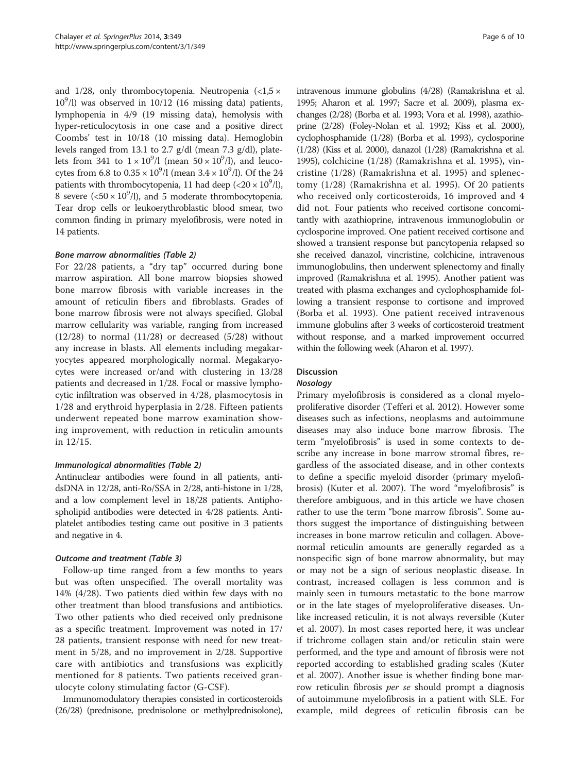and 1/28, only thrombocytopenia. Neutropenia  $\langle$  <1,5  $\times$  $10^9$ /l) was observed in  $10$ /12 (16 missing data) patients, lymphopenia in 4/9 (19 missing data), hemolysis with hyper-reticulocytosis in one case and a positive direct Coombs' test in 10/18 (10 missing data). Hemoglobin levels ranged from 13.1 to 2.7 g/dl (mean 7.3 g/dl), platelets from 341 to  $1 \times 10^9$ /l (mean  $50 \times 10^9$ /l), and leucocytes from 6.8 to  $0.35 \times 10^9$ /l (mean  $3.4 \times 10^9$ /l). Of the 24 patients with thrombocytopenia, 11 had deep  $(<20 \times 10^9/l)$ , 8 severe ( $\langle 50 \times 10^9 \rangle$ ), and 5 moderate thrombocytopenia. Tear drop cells or leukoerythroblastic blood smear, two common finding in primary myelofibrosis, were noted in 14 patients.

#### Bone marrow abnormalities (Table [2\)](#page-3-0)

For 22/28 patients, a "dry tap" occurred during bone marrow aspiration. All bone marrow biopsies showed bone marrow fibrosis with variable increases in the amount of reticulin fibers and fibroblasts. Grades of bone marrow fibrosis were not always specified. Global marrow cellularity was variable, ranging from increased  $(12/28)$  to normal  $(11/28)$  or decreased  $(5/28)$  without any increase in blasts. All elements including megakaryocytes appeared morphologically normal. Megakaryocytes were increased or/and with clustering in 13/28 patients and decreased in 1/28. Focal or massive lymphocytic infiltration was observed in 4/28, plasmocytosis in 1/28 and erythroid hyperplasia in 2/28. Fifteen patients underwent repeated bone marrow examination showing improvement, with reduction in reticulin amounts in 12/15.

#### Immunological abnormalities (Table [2](#page-3-0))

Antinuclear antibodies were found in all patients, antidsDNA in 12/28, anti-Ro/SSA in 2/28, anti-histone in 1/28, and a low complement level in 18/28 patients. Antiphospholipid antibodies were detected in 4/28 patients. Antiplatelet antibodies testing came out positive in 3 patients and negative in 4.

#### Outcome and treatment (Table [3](#page-6-0))

Follow-up time ranged from a few months to years but was often unspecified. The overall mortality was 14% (4/28). Two patients died within few days with no other treatment than blood transfusions and antibiotics. Two other patients who died received only prednisone as a specific treatment. Improvement was noted in 17/ 28 patients, transient response with need for new treatment in 5/28, and no improvement in 2/28. Supportive care with antibiotics and transfusions was explicitly mentioned for 8 patients. Two patients received granulocyte colony stimulating factor (G-CSF).

Immunomodulatory therapies consisted in corticosteroids (26/28) (prednisone, prednisolone or methylprednisolone),

intravenous immune globulins (4/28) (Ramakrishna et al. [1995](#page-8-0); Aharon et al. [1997](#page-8-0); Sacre et al. [2009](#page-8-0)), plasma exchanges (2/28) (Borba et al. [1993](#page-8-0); Vora et al. [1998\)](#page-9-0), azathioprine (2/28) (Foley-Nolan et al. [1992;](#page-8-0) Kiss et al. [2000](#page-8-0)), cyclophosphamide (1/28) (Borba et al. [1993](#page-8-0)), cyclosporine (1/28) (Kiss et al. [2000](#page-8-0)), danazol (1/28) (Ramakrishna et al. [1995](#page-8-0)), colchicine (1/28) (Ramakrishna et al. [1995\)](#page-8-0), vincristine (1/28) (Ramakrishna et al. [1995](#page-8-0)) and splenectomy (1/28) (Ramakrishna et al. [1995](#page-8-0)). Of 20 patients who received only corticosteroids, 16 improved and 4 did not. Four patients who received cortisone concomitantly with azathioprine, intravenous immunoglobulin or cyclosporine improved. One patient received cortisone and showed a transient response but pancytopenia relapsed so she received danazol, vincristine, colchicine, intravenous immunoglobulins, then underwent splenectomy and finally improved (Ramakrishna et al. [1995](#page-8-0)). Another patient was treated with plasma exchanges and cyclophosphamide following a transient response to cortisone and improved (Borba et al. [1993\)](#page-8-0). One patient received intravenous immune globulins after 3 weeks of corticosteroid treatment without response, and a marked improvement occurred within the following week (Aharon et al. [1997](#page-8-0)).

#### Discussion

#### Nosology

Primary myelofibrosis is considered as a clonal myeloproliferative disorder (Tefferi et al. [2012](#page-9-0)). However some diseases such as infections, neoplasms and autoimmune diseases may also induce bone marrow fibrosis. The term "myelofibrosis" is used in some contexts to describe any increase in bone marrow stromal fibres, regardless of the associated disease, and in other contexts to define a specific myeloid disorder (primary myelofibrosis) (Kuter et al. [2007\)](#page-8-0). The word "myelofibrosis" is therefore ambiguous, and in this article we have chosen rather to use the term "bone marrow fibrosis". Some authors suggest the importance of distinguishing between increases in bone marrow reticulin and collagen. Abovenormal reticulin amounts are generally regarded as a nonspecific sign of bone marrow abnormality, but may or may not be a sign of serious neoplastic disease. In contrast, increased collagen is less common and is mainly seen in tumours metastatic to the bone marrow or in the late stages of myeloproliferative diseases. Unlike increased reticulin, it is not always reversible (Kuter et al. [2007](#page-8-0)). In most cases reported here, it was unclear if trichrome collagen stain and/or reticulin stain were performed, and the type and amount of fibrosis were not reported according to established grading scales (Kuter et al. [2007\)](#page-8-0). Another issue is whether finding bone marrow reticulin fibrosis per se should prompt a diagnosis of autoimmune myelofibrosis in a patient with SLE. For example, mild degrees of reticulin fibrosis can be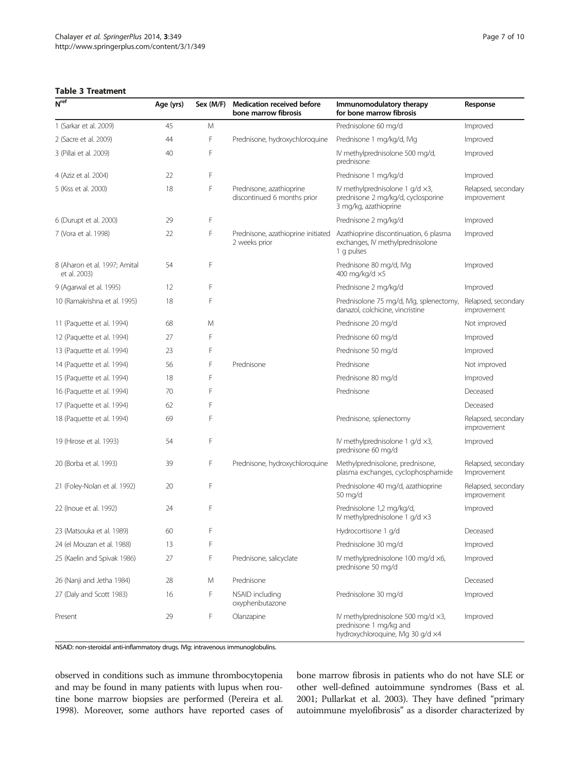#### <span id="page-6-0"></span>Table 3 Treatment

| N <sup>ref</sup>                              | Age (yrs) | Sex (M/F) | <b>Medication received before</b><br>bone marrow fibrosis                                                                                                          | Immunomodulatory therapy<br>for bone marrow fibrosis                                             | Response                           |
|-----------------------------------------------|-----------|-----------|--------------------------------------------------------------------------------------------------------------------------------------------------------------------|--------------------------------------------------------------------------------------------------|------------------------------------|
| 1 (Sarkar et al. 2009)                        | 45        | M         |                                                                                                                                                                    | Prednisolone 60 ma/d                                                                             | Improved                           |
| 2 (Sacre et al. 2009)                         | 44        | F         | Prednisone, hydroxychloroquine                                                                                                                                     | Prednisone 1 mg/kg/d, Mg                                                                         | Improved                           |
| 3 (Pillai et al. 2009)                        | 40        | F         |                                                                                                                                                                    | IV methylprednisolone 500 mg/d,<br>prednisone                                                    | Improved                           |
| 4 (Aziz et al. 2004)                          | 22        | F         |                                                                                                                                                                    | Prednisone 1 mg/kg/d                                                                             | Improved                           |
| 5 (Kiss et al. 2000)                          | 18        | F         | Prednisone, azathioprine<br>IV methylprednisolone 1 $q/d \times 3$ ,<br>discontinued 6 months prior<br>prednisone 2 mg/kg/d, cyclosporine<br>3 mg/kg, azathioprine |                                                                                                  | Relapsed, secondary<br>improvement |
| 6 (Durupt et al. 2000)                        | 29        | F         |                                                                                                                                                                    | Prednisone 2 mg/kg/d                                                                             | Improved                           |
| 7 (Vora et al. 1998)                          | 22        | F         | Prednisone, azathioprine initiated<br>Azathioprine discontinuation, 6 plasma<br>2 weeks prior<br>exchanges, IV methylprednisolone<br>1 g pulses                    |                                                                                                  | Improved                           |
| 8 (Aharon et al. 1997; Amital<br>et al. 2003) | 54        | F         |                                                                                                                                                                    | Prednisone 80 mg/d, Mg<br>400 mg/kg/d ×5                                                         | Improved                           |
| 9 (Agarwal et al. 1995)                       | 12        | F         |                                                                                                                                                                    | Prednisone 2 mg/kg/d                                                                             | Improved                           |
| 10 (Ramakrishna et al. 1995)                  | 18        | F         |                                                                                                                                                                    | Prednisolone 75 mg/d, IVIg, splenectomy,<br>danazol, colchicine, vincristine                     | Relapsed, secondary<br>improvement |
| 11 (Paquette et al. 1994)                     | 68        | M         |                                                                                                                                                                    | Prednisone 20 mg/d                                                                               | Not improved                       |
| 12 (Paquette et al. 1994)                     | 27        | F         |                                                                                                                                                                    | Prednisone 60 mg/d                                                                               | Improved                           |
| 13 (Paquette et al. 1994)                     | 23        | F         |                                                                                                                                                                    | Prednisone 50 mg/d                                                                               | Improved                           |
| 14 (Paquette et al. 1994)                     | 56        | F         | Prednisone                                                                                                                                                         | Prednisone                                                                                       | Not improved                       |
| 15 (Paquette et al. 1994)                     | 18        | F         |                                                                                                                                                                    | Prednisone 80 mg/d                                                                               | Improved                           |
| 16 (Paquette et al. 1994)                     | 70        | F         |                                                                                                                                                                    | Prednisone                                                                                       | Deceased                           |
| 17 (Paquette et al. 1994)                     | 62        | F         |                                                                                                                                                                    |                                                                                                  | Deceased                           |
| 18 (Paquette et al. 1994)                     | 69        | F         |                                                                                                                                                                    | Prednisone, splenectomy                                                                          | Relapsed, secondary<br>improvement |
| 19 (Hirose et al. 1993)                       | 54        | F         |                                                                                                                                                                    | IV methylprednisolone 1 $q/d \times 3$ ,<br>prednisone 60 mg/d                                   | Improved                           |
| 20 (Borba et al. 1993)                        | 39        | F         | Prednisone, hydroxychloroquine                                                                                                                                     | Methylprednisolone, prednisone,<br>plasma exchanges, cyclophosphamide                            | Relapsed, secondary<br>Improvement |
| 21 (Foley-Nolan et al. 1992)                  | 20        | F         |                                                                                                                                                                    | Prednisolone 40 mg/d, azathioprine<br>50 mg/d                                                    | Relapsed, secondary<br>improvement |
| 22 (Inoue et al. 1992)                        | 24        | F         |                                                                                                                                                                    | Prednisolone 1,2 mg/kg/d,<br>IV methylprednisolone 1 g/d x3                                      | Improved                           |
| 23 (Matsouka et al. 1989)                     | 60        | F         |                                                                                                                                                                    | Hydrocortisone 1 g/d                                                                             | Deceased                           |
| 24 (el Mouzan et al. 1988)                    | 13        | F         |                                                                                                                                                                    | Prednisolone 30 mg/d                                                                             | Improved                           |
| 25 (Kaelin and Spivak 1986)                   | 27        | F         | Prednisone, salicyclate                                                                                                                                            | IV methylprednisolone 100 mg/d x6,<br>prednisone 50 mg/d                                         | Improved                           |
| 26 (Nanji and Jetha 1984)                     | 28        | M         | Prednisone                                                                                                                                                         |                                                                                                  | Deceased                           |
| 27 (Daly and Scott 1983)                      | 16        | F         | NSAID including<br>oxyphenbutazone                                                                                                                                 | Prednisolone 30 mg/d                                                                             | Improved                           |
| Present                                       | 29        | F         | Olanzapine                                                                                                                                                         | IV methylprednisolone 500 mg/d ×3,<br>prednisone 1 mg/kg and<br>hydroxychloroquine, Mg 30 g/d x4 | Improved                           |

NSAID: non-steroidal anti-inflammatory drugs. IVIg: intravenous immunoglobulins.

observed in conditions such as immune thrombocytopenia and may be found in many patients with lupus when routine bone marrow biopsies are performed (Pereira et al. [1998\)](#page-8-0). Moreover, some authors have reported cases of bone marrow fibrosis in patients who do not have SLE or other well-defined autoimmune syndromes (Bass et al. [2001;](#page-8-0) Pullarkat et al. [2003\)](#page-8-0). They have defined "primary autoimmune myelofibrosis" as a disorder characterized by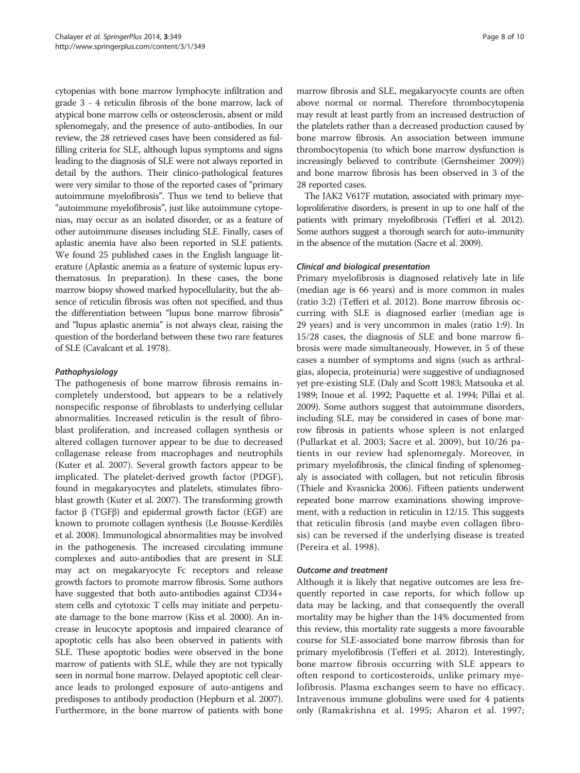cytopenias with bone marrow lymphocyte infiltration and grade 3 - 4 reticulin fibrosis of the bone marrow, lack of atypical bone marrow cells or osteosclerosis, absent or mild splenomegaly, and the presence of auto-antibodies. In our review, the 28 retrieved cases have been considered as fulfilling criteria for SLE, although lupus symptoms and signs leading to the diagnosis of SLE were not always reported in detail by the authors. Their clinico-pathological features were very similar to those of the reported cases of "primary autoimmune myelofibrosis". Thus we tend to believe that "autoimmune myelofibrosis", just like autoimmune cytopenias, may occur as an isolated disorder, or as a feature of other autoimmune diseases including SLE. Finally, cases of aplastic anemia have also been reported in SLE patients. We found 25 published cases in the English language literature (Aplastic anemia as a feature of systemic lupus erythematosus. In preparation). In these cases, the bone marrow biopsy showed marked hypocellularity, but the absence of reticulin fibrosis was often not specified, and thus the differentiation between "lupus bone marrow fibrosis" and "lupus aplastic anemia" is not always clear, raising the question of the borderland between these two rare features of SLE (Cavalcant et al. [1978\)](#page-8-0).

#### Pathophysiology

The pathogenesis of bone marrow fibrosis remains incompletely understood, but appears to be a relatively nonspecific response of fibroblasts to underlying cellular abnormalities. Increased reticulin is the result of fibroblast proliferation, and increased collagen synthesis or altered collagen turnover appear to be due to decreased collagenase release from macrophages and neutrophils (Kuter et al. [2007](#page-8-0)). Several growth factors appear to be implicated. The platelet-derived growth factor (PDGF), found in megakaryocytes and platelets, stimulates fibroblast growth (Kuter et al. [2007](#page-8-0)). The transforming growth factor β (TGFβ) and epidermal growth factor (EGF) are known to promote collagen synthesis (Le Bousse-Kerdilès et al. [2008\)](#page-8-0). Immunological abnormalities may be involved in the pathogenesis. The increased circulating immune complexes and auto-antibodies that are present in SLE may act on megakaryocyte Fc receptors and release growth factors to promote marrow fibrosis. Some authors have suggested that both auto-antibodies against CD34+ stem cells and cytotoxic T cells may initiate and perpetuate damage to the bone marrow (Kiss et al. [2000](#page-8-0)). An increase in leucocyte apoptosis and impaired clearance of apoptotic cells has also been observed in patients with SLE. These apoptotic bodies were observed in the bone marrow of patients with SLE, while they are not typically seen in normal bone marrow. Delayed apoptotic cell clearance leads to prolonged exposure of auto-antigens and predisposes to antibody production (Hepburn et al. [2007](#page-8-0)). Furthermore, in the bone marrow of patients with bone

marrow fibrosis and SLE, megakaryocyte counts are often above normal or normal. Therefore thrombocytopenia may result at least partly from an increased destruction of the platelets rather than a decreased production caused by bone marrow fibrosis. An association between immune thrombocytopenia (to which bone marrow dysfunction is increasingly believed to contribute (Gernsheimer [2009](#page-8-0))) and bone marrow fibrosis has been observed in 3 of the 28 reported cases.

The JAK2 V617F mutation, associated with primary myeloproliferative disorders, is present in up to one half of the patients with primary myelofibrosis (Tefferi et al. [2012](#page-9-0)). Some authors suggest a thorough search for auto-immunity in the absence of the mutation (Sacre et al. [2009\)](#page-8-0).

#### Clinical and biological presentation

Primary myelofibrosis is diagnosed relatively late in life (median age is 66 years) and is more common in males (ratio 3:2) (Tefferi et al. [2012](#page-9-0)). Bone marrow fibrosis occurring with SLE is diagnosed earlier (median age is 29 years) and is very uncommon in males (ratio 1:9). In 15/28 cases, the diagnosis of SLE and bone marrow fibrosis were made simultaneously. However, in 5 of these cases a number of symptoms and signs (such as arthralgias, alopecia, proteinuria) were suggestive of undiagnosed yet pre-existing SLE (Daly and Scott [1983](#page-8-0); Matsouka et al. [1989](#page-8-0); Inoue et al. [1992](#page-8-0); Paquette et al. [1994;](#page-8-0) Pillai et al. [2009](#page-8-0)). Some authors suggest that autoimmune disorders, including SLE, may be considered in cases of bone marrow fibrosis in patients whose spleen is not enlarged (Pullarkat et al. [2003](#page-8-0); Sacre et al. [2009\)](#page-8-0), but 10/26 patients in our review had splenomegaly. Moreover, in primary myelofibrosis, the clinical finding of splenomegaly is associated with collagen, but not reticulin fibrosis (Thiele and Kvasnicka [2006](#page-9-0)). Fifteen patients underwent repeated bone marrow examinations showing improvement, with a reduction in reticulin in 12/15. This suggests that reticulin fibrosis (and maybe even collagen fibrosis) can be reversed if the underlying disease is treated (Pereira et al. [1998](#page-8-0)).

#### Outcome and treatment

Although it is likely that negative outcomes are less frequently reported in case reports, for which follow up data may be lacking, and that consequently the overall mortality may be higher than the 14% documented from this review, this mortality rate suggests a more favourable course for SLE-associated bone marrow fibrosis than for primary myelofibrosis (Tefferi et al. [2012](#page-9-0)). Interestingly, bone marrow fibrosis occurring with SLE appears to often respond to corticosteroids, unlike primary myelofibrosis. Plasma exchanges seem to have no efficacy. Intravenous immune globulins were used for 4 patients only (Ramakrishna et al. [1995](#page-8-0); Aharon et al. [1997](#page-8-0);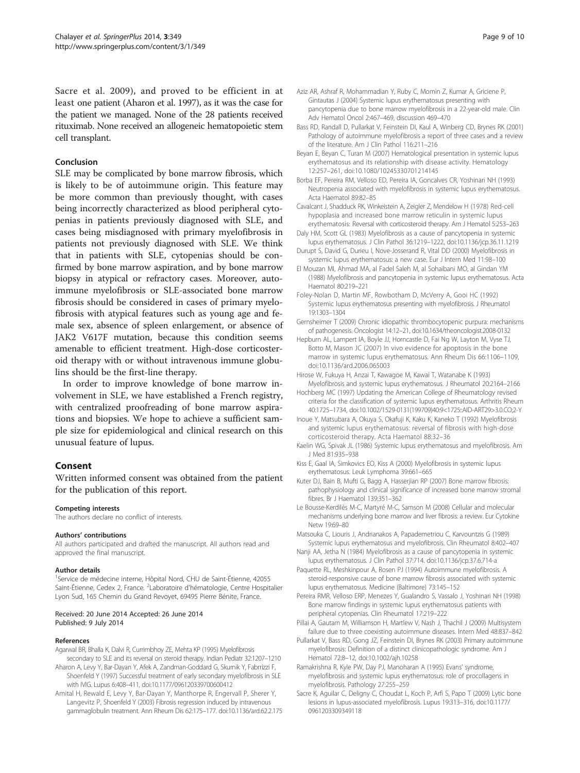<span id="page-8-0"></span>Sacre et al. 2009), and proved to be efficient in at least one patient (Aharon et al. 1997), as it was the case for the patient we managed. None of the 28 patients received rituximab. None received an allogeneic hematopoietic stem cell transplant.

#### Conclusion

SLE may be complicated by bone marrow fibrosis, which is likely to be of autoimmune origin. This feature may be more common than previously thought, with cases being incorrectly characterized as blood peripheral cytopenias in patients previously diagnosed with SLE, and cases being misdiagnosed with primary myelofibrosis in patients not previously diagnosed with SLE. We think that in patients with SLE, cytopenias should be confirmed by bone marrow aspiration, and by bone marrow biopsy in atypical or refractory cases. Moreover, autoimmune myelofibrosis or SLE-associated bone marrow fibrosis should be considered in cases of primary myelofibrosis with atypical features such as young age and female sex, absence of spleen enlargement, or absence of JAK2 V617F mutation, because this condition seems amenable to efficient treatment. High-dose corticosteroid therapy with or without intravenous immune globulins should be the first-line therapy.

In order to improve knowledge of bone marrow involvement in SLE, we have established a French registry, with centralized proofreading of bone marrow aspirations and biopsies. We hope to achieve a sufficient sample size for epidemiological and clinical research on this unusual feature of lupus.

#### Consent

Written informed consent was obtained from the patient for the publication of this report.

#### Competing interests

The authors declare no conflict of interests.

#### Authors' contributions

All authors participated and drafted the manuscript. All authors read and approved the final manuscript.

#### Author details

<sup>1</sup>Service de médecine interne, Hôpital Nord, CHU de Saint-Étienne, 42055 Saint-Étienne, Cedex 2, France. <sup>2</sup>Laboratoire d'hématologie, Centre Hospitalier Lyon Sud, 165 Chemin du Grand Revoyet, 69495 Pierre Bénite, France.

#### Received: 20 June 2014 Accepted: 26 June 2014 Published: 9 July 2014

#### References

- Agarwal BR, Bhalla K, Dalvi R, Currimbhoy ZE, Mehta KP (1995) Myelofibrosis secondary to SLE and its reversal on steroid therapy. Indian Pediatr 32:1207–1210
- Aharon A, Levy Y, Bar-Dayan Y, Afek A, Zandman-Goddard G, Skurnik Y, Fabrrizzi F, Shoenfeld Y (1997) Successful treatment of early secondary myelofibrosis in SLE with IVIG. Lupus 6:408–411, doi:10.1177/096120339700600412
- Amital H, Rewald E, Levy Y, Bar-Dayan Y, Manthorpe R, Engervall P, Sherer Y, Langevitz P, Shoenfeld Y (2003) Fibrosis regression induced by intravenous gammaglobulin treatment. Ann Rheum Dis 62:175–177. doi:10.1136/ard.62.2.175
- Aziz AR, Ashraf R, Mohammadian Y, Ruby C, Momin Z, Kumar A, Griciene P, Gintautas J (2004) Systemic lupus erythematosus presenting with pancytopenia due to bone marrow myelofibrosis in a 22-year-old male. Clin Adv Hematol Oncol 2:467–469, discussion 469–470
- Bass RD, Randall D, Pullarkat V, Feinstein DI, Kaul A, Winberg CD, Brynes RK (2001) Pathology of autoimmune myelofibrosis a report of three cases and a review of the literature. Am J Clin Pathol 116:211–216
- Beyan E, Beyan C, Turan M (2007) Hematological presentation in systemic lupus erythematosus and its relationship with disease activity. Hematology 12:257–261, doi:10.1080/10245330701214145
- Borba EF, Pereira RM, Velloso ED, Pereira IA, Goncalves CR, Yoshinari NH (1993) Neutropenia associated with myelofibrosis in systemic lupus erythematosus. Acta Haematol 89:82–85

Cavalcant J, Shadduck RK, Winkeistein A, Zeigler Z, Mendelow H (1978) Red-cell hypoplasia and increased bone marrow reticulin in systemic lupus erythematosis: Reversal with corticosteroid therapy. Am J Hematol 5:253–263

- Daly HM, Scott GL (1983) Myelofibrosis as a cause of pancytopenia in systemic lupus erythematosus. J Clin Pathol 36:1219–1222, doi:10.1136/jcp.36.11.1219
- Durupt S, David G, Durieu I, Nove-Josserand R, Vital DD (2000) Myelofibrosis in systemic lupus erythematosus: a new case. Eur J Intern Med 11:98–100
- El Mouzan MI, Ahmad MA, al Fadel Saleh M, al Sohaibani MO, al Gindan YM (1988) Myelofibrosis and pancytopenia in systemic lupus erythematosus. Acta Haematol 80:219–221
- Foley-Nolan D, Martin MF, Rowbotham D, McVerry A, Gooi HC (1992) Systemic lupus erythematosus presenting with myelofibrosis. J Rheumatol 19:1303–1304
- Gernsheimer T (2009) Chronic idiopathic thrombocytopenic purpura: mechanisms of pathogenesis. Oncologist 14:12–21, doi:10.1634/theoncologist.2008-0132
- Hepburn AL, Lampert IA, Boyle JJ, Horncastle D, Fai Ng W, Layton M, Vyse TJ, Botto M, Mason JC (2007) In vivo evidence for apoptosis in the bone marrow in systemic lupus erythematosus. Ann Rheum Dis 66:1106–1109, doi:10.1136/ard.2006.065003

Hirose W, Fukuya H, Anzai T, Kawagoe M, Kawai T, Watanabe K (1993) Myelofibrosis and systemic lupus erythematosus. J Rheumatol 20:2164–2166

- Hochberg MC (1997) Updating the American College of Rheumatology revised criteria for the classification of systemic lupus erythematosus. Arthritis Rheum 40:1725–1734, doi:10.1002/1529-0131(199709)40:9<1725::AID-ART29>3.0.CO;2-Y
- Inoue Y, Matsubara A, Okuya S, Okafuji K, Kaku K, Kaneko T (1992) Myelofibrosis and systemic lupus erythematosus: reversal of fibrosis with high-dose corticosteroid therapy. Acta Haematol 88:32–36
- Kaelin WG, Spivak JL (1986) Systemic lupus erythematosus and myelofibrosis. Am J Med 81:935–938
- Kiss E, Gaal IA, Simkovics EO, Kiss A (2000) Myelofibrosis in systemic lupus erythematosus. Leuk Lymphoma 39:661–665
- Kuter DJ, Bain B, Mufti G, Bagg A, Hasserjian RP (2007) Bone marrow fibrosis: pathophysiology and clinical significance of increased bone marrow stromal fibres. Br J Haematol 139:351–362
- Le Bousse-Kerdilès M-C, Martyré M-C, Samson M (2008) Cellular and molecular mechanisms underlying bone marrow and liver fibrosis: a review. Eur Cytokine Netw 19:69–80
- Matsouka C, Liouris J, Andrianakos A, Papademetriou C, Karvountzis G (1989) Systemic lupus erythematosus and myelofibrosis. Clin Rheumatol 8:402–407
- Nanji AA, Jetha N (1984) Myelofibrosis as a cause of pancytopenia in systemic lupus erythematosus. J Clin Pathol 37:714. doi:10.1136/jcp.37.6.714-a
- Paquette RL, Meshkinpour A, Rosen PJ (1994) Autoimmune myelofibrosis. A steroid-responsive cause of bone marrow fibrosis associated with systemic lupus erythematosus. Medicine (Baltimore) 73:145–152
- Pereira RMR, Velloso ERP, Menezes Y, Gualandro S, Vassalo J, Yoshinari NH (1998) Bone marrow findings in systemic lupus erythematosus patients with peripheral cytopenias. Clin Rheumatol 17:219–222
- Pillai A, Gautam M, Williamson H, Martlew V, Nash J, Thachil J (2009) Multisystem failure due to three coexisting autoimmune diseases. Intern Med 48:837–842
- Pullarkat V, Bass RD, Gong JZ, Feinstein DI, Brynes RK (2003) Primary autoimmune myelofibrosis: Definition of a distinct clinicopathologic syndrome. Am J Hematol 72:8–12, doi:10.1002/ajh.10258
- Ramakrishna R, Kyle PW, Day PJ, Manoharan A (1995) Evans' syndrome, myelofibrosis and systemic lupus erythematosus: role of procollagens in myelofibrosis. Pathology 27:255–259
- Sacre K, Aguilar C, Deligny C, Choudat L, Koch P, Arfi S, Papo T (2009) Lytic bone lesions in lupus-associated myelofibrosis. Lupus 19:313–316, doi:10.1177/ 0961203309349118